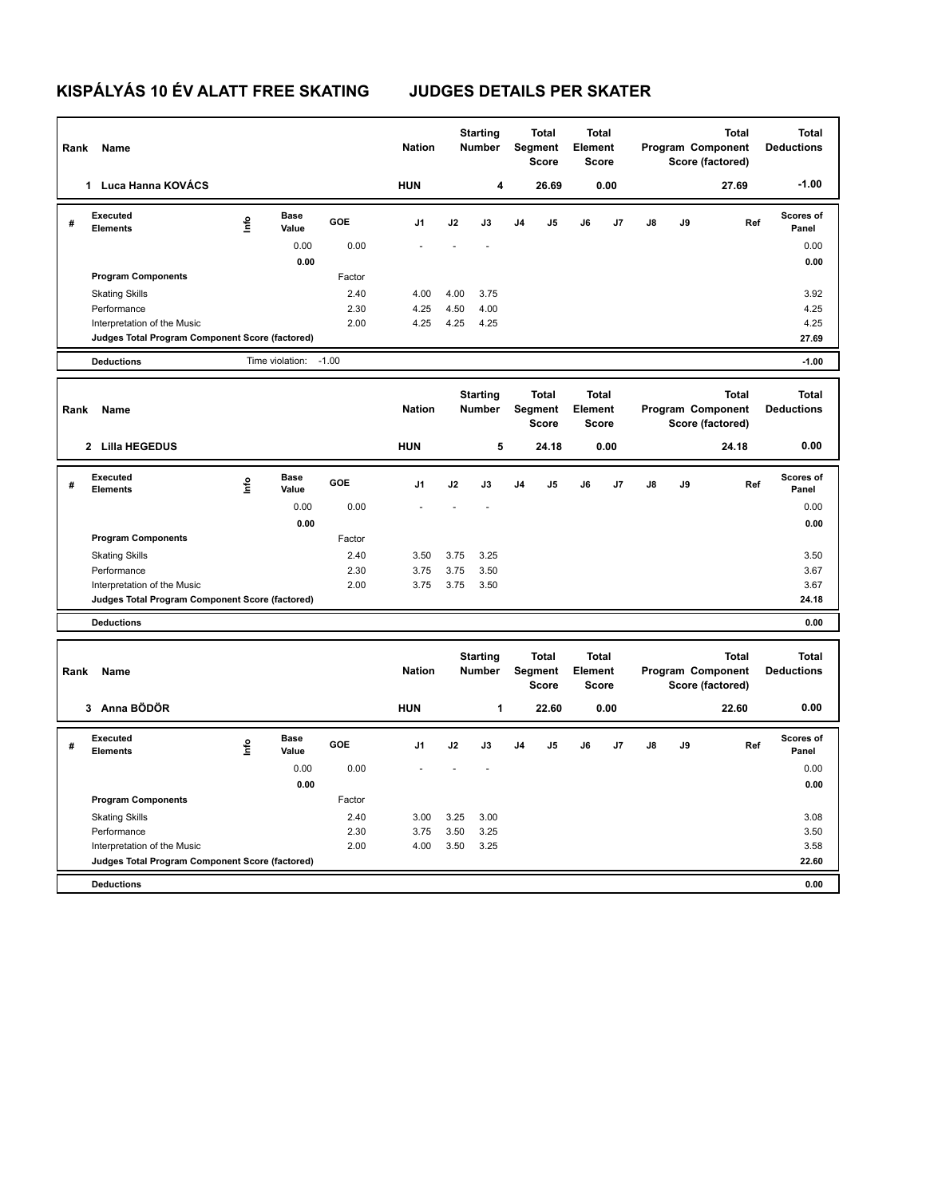## **KISPÁLYÁS 10 ÉV ALATT FREE SKATING JUDGES DETAILS PER SKATER**

| Rank | Name                                            |      |                      |              | <b>Nation</b>  |              | <b>Starting</b><br><b>Number</b> |                | <b>Total</b><br>Segment<br>Score        | <b>Total</b><br>Element<br><b>Score</b> |      |    |    | <b>Total</b><br>Program Component<br>Score (factored) | <b>Total</b><br><b>Deductions</b> |
|------|-------------------------------------------------|------|----------------------|--------------|----------------|--------------|----------------------------------|----------------|-----------------------------------------|-----------------------------------------|------|----|----|-------------------------------------------------------|-----------------------------------|
|      | 1 Luca Hanna KOVÁCS                             |      |                      |              | <b>HUN</b>     |              | 4                                |                | 26.69                                   |                                         | 0.00 |    |    | 27.69                                                 | $-1.00$                           |
| #    | Executed<br><b>Elements</b>                     | Info | <b>Base</b><br>Value | <b>GOE</b>   | J <sub>1</sub> | J2           | J3                               | J <sub>4</sub> | $\mathsf{J}5$                           | J6                                      | J7   | J8 | J9 | Ref                                                   | Scores of<br>Panel                |
|      |                                                 |      | 0.00                 | 0.00         |                |              |                                  |                |                                         |                                         |      |    |    |                                                       | 0.00                              |
|      |                                                 |      | 0.00                 |              |                |              |                                  |                |                                         |                                         |      |    |    |                                                       | 0.00                              |
|      | <b>Program Components</b>                       |      |                      | Factor       |                |              |                                  |                |                                         |                                         |      |    |    |                                                       |                                   |
|      | <b>Skating Skills</b><br>Performance            |      |                      | 2.40<br>2.30 | 4.00<br>4.25   | 4.00<br>4.50 | 3.75<br>4.00                     |                |                                         |                                         |      |    |    |                                                       | 3.92<br>4.25                      |
|      | Interpretation of the Music                     |      |                      | 2.00         | 4.25           | 4.25         | 4.25                             |                |                                         |                                         |      |    |    |                                                       | 4.25                              |
|      | Judges Total Program Component Score (factored) |      |                      |              |                |              |                                  |                |                                         |                                         |      |    |    |                                                       | 27.69                             |
|      | <b>Deductions</b>                               |      | Time violation:      | $-1.00$      |                |              |                                  |                |                                         |                                         |      |    |    |                                                       | $-1.00$                           |
| Rank | Name                                            |      |                      |              | <b>Nation</b>  |              | <b>Starting</b><br><b>Number</b> |                | <b>Total</b><br>Segment<br><b>Score</b> | <b>Total</b><br>Element<br><b>Score</b> |      |    |    | <b>Total</b><br>Program Component<br>Score (factored) | <b>Total</b><br><b>Deductions</b> |
|      | 2 Lilla HEGEDUS                                 |      |                      |              | <b>HUN</b>     |              | 5                                |                | 24.18                                   |                                         | 0.00 |    |    | 24.18                                                 | 0.00                              |
| #    | Executed<br><b>Elements</b>                     | lnfo | <b>Base</b><br>Value | <b>GOE</b>   | J <sub>1</sub> | J2           | J3                               | J <sub>4</sub> | $\mathsf{J}5$                           | J6                                      | J7   | J8 | J9 | Ref                                                   | Scores of<br>Panel                |
|      |                                                 |      | 0.00                 | 0.00         |                |              |                                  |                |                                         |                                         |      |    |    |                                                       | 0.00                              |
|      |                                                 |      | 0.00                 |              |                |              |                                  |                |                                         |                                         |      |    |    |                                                       | 0.00                              |
|      | <b>Program Components</b>                       |      |                      | Factor       |                |              |                                  |                |                                         |                                         |      |    |    |                                                       |                                   |
|      | <b>Skating Skills</b><br>Performance            |      |                      | 2.40<br>2.30 | 3.50<br>3.75   | 3.75<br>3.75 | 3.25<br>3.50                     |                |                                         |                                         |      |    |    |                                                       | 3.50<br>3.67                      |
|      | Interpretation of the Music                     |      |                      | 2.00         | 3.75           | 3.75         | 3.50                             |                |                                         |                                         |      |    |    |                                                       | 3.67                              |
|      | Judges Total Program Component Score (factored) |      |                      |              |                |              |                                  |                |                                         |                                         |      |    |    |                                                       | 24.18                             |
|      | <b>Deductions</b>                               |      |                      |              |                |              |                                  |                |                                         |                                         |      |    |    |                                                       | 0.00                              |
| Rank | <b>Name</b>                                     |      |                      |              | <b>Nation</b>  |              | <b>Starting</b><br><b>Number</b> |                | <b>Total</b><br>Segment<br><b>Score</b> | <b>Total</b><br>Element<br>Score        |      |    |    | <b>Total</b><br>Program Component<br>Score (factored) | <b>Total</b><br><b>Deductions</b> |
|      | 3 Anna BÖDÖR                                    |      |                      |              | <b>HUN</b>     |              | 1                                |                | 22.60                                   |                                         | 0.00 |    |    | 22.60                                                 | 0.00                              |
| #    | Executed<br>Elements                            | Info | <b>Base</b><br>Value | <b>GOE</b>   | J1             | J2           | J3                               | J <sub>4</sub> | J <sub>5</sub>                          | J6                                      | J7   | J8 | J9 | Ref                                                   | Scores of<br>Panel                |
|      |                                                 |      | 0.00                 | 0.00         |                |              |                                  |                |                                         |                                         |      |    |    |                                                       | 0.00                              |
|      |                                                 |      | 0.00                 |              |                |              |                                  |                |                                         |                                         |      |    |    |                                                       | 0.00                              |
|      | <b>Program Components</b>                       |      |                      | Factor       |                |              |                                  |                |                                         |                                         |      |    |    |                                                       |                                   |
|      | <b>Skating Skills</b><br>Performance            |      |                      | 2.40<br>2.30 | 3.00<br>3.75   | 3.25<br>3.50 | 3.00<br>3.25                     |                |                                         |                                         |      |    |    |                                                       | 3.08<br>3.50                      |
|      | Interpretation of the Music                     |      |                      | 2.00         | 4.00           | 3.50         | 3.25                             |                |                                         |                                         |      |    |    |                                                       | 3.58                              |
|      | Judges Total Program Component Score (factored) |      |                      |              |                |              |                                  |                |                                         |                                         |      |    |    |                                                       | 22.60                             |
|      | <b>Deductions</b>                               |      |                      |              |                |              |                                  |                |                                         |                                         |      |    |    |                                                       | 0.00                              |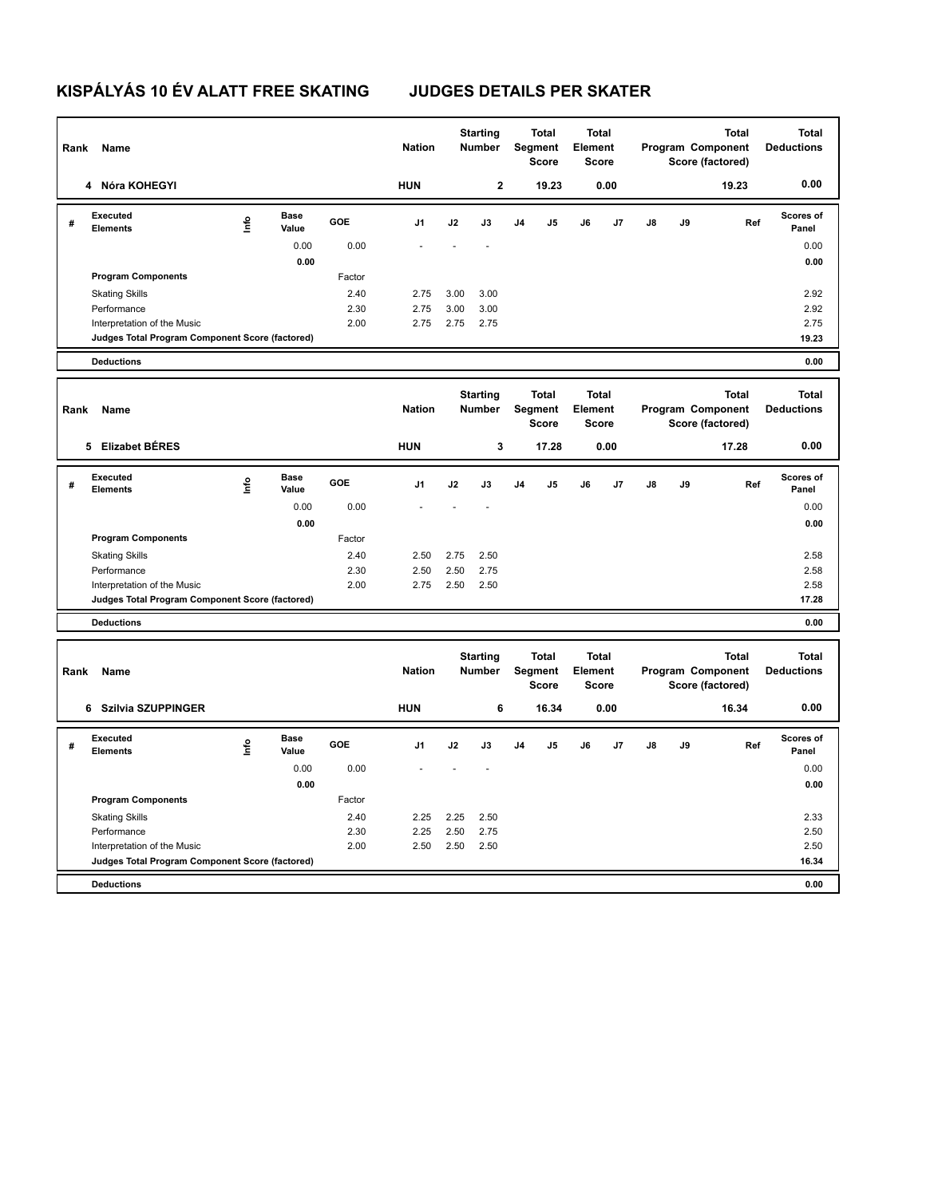# **KISPÁLYÁS 10 ÉV ALATT FREE SKATING JUDGES DETAILS PER SKATER**

| Rank | Name                                            |      |                      |              | <b>Nation</b> |              | <b>Starting</b><br>Number        |                | <b>Total</b><br>Segment<br><b>Score</b> | <b>Total</b><br>Element<br><b>Score</b> |      |    |    | <b>Total</b><br>Program Component<br>Score (factored) | <b>Total</b><br><b>Deductions</b> |
|------|-------------------------------------------------|------|----------------------|--------------|---------------|--------------|----------------------------------|----------------|-----------------------------------------|-----------------------------------------|------|----|----|-------------------------------------------------------|-----------------------------------|
|      | 4 Nóra KOHEGYI                                  |      |                      |              | <b>HUN</b>    |              | $\mathbf{2}$                     |                | 19.23                                   |                                         | 0.00 |    |    | 19.23                                                 | 0.00                              |
| #    | <b>Executed</b><br><b>Elements</b>              | Info | <b>Base</b><br>Value | <b>GOE</b>   | J1            | J2           | J3                               | J4             | J5                                      | J6                                      | J7   | J8 | J9 | Ref                                                   | Scores of<br>Panel                |
|      |                                                 |      | 0.00                 | 0.00         |               |              |                                  |                |                                         |                                         |      |    |    |                                                       | 0.00                              |
|      |                                                 |      | 0.00                 |              |               |              |                                  |                |                                         |                                         |      |    |    |                                                       | 0.00                              |
|      | <b>Program Components</b>                       |      |                      | Factor       |               |              |                                  |                |                                         |                                         |      |    |    |                                                       |                                   |
|      | <b>Skating Skills</b>                           |      |                      | 2.40<br>2.30 | 2.75<br>2.75  | 3.00<br>3.00 | 3.00<br>3.00                     |                |                                         |                                         |      |    |    |                                                       | 2.92<br>2.92                      |
|      | Performance<br>Interpretation of the Music      |      |                      | 2.00         | 2.75          | 2.75         | 2.75                             |                |                                         |                                         |      |    |    |                                                       | 2.75                              |
|      | Judges Total Program Component Score (factored) |      |                      |              |               |              |                                  |                |                                         |                                         |      |    |    |                                                       | 19.23                             |
|      | <b>Deductions</b>                               |      |                      |              |               |              |                                  |                |                                         |                                         |      |    |    |                                                       | 0.00                              |
| Rank | Name                                            |      |                      |              | <b>Nation</b> |              | <b>Starting</b><br><b>Number</b> |                | <b>Total</b><br><b>Segment</b>          | <b>Total</b><br>Element                 |      |    |    | <b>Total</b><br>Program Component                     | <b>Total</b><br><b>Deductions</b> |
|      |                                                 |      |                      |              |               |              |                                  |                | <b>Score</b>                            | <b>Score</b>                            |      |    |    | Score (factored)                                      |                                   |
|      | 5 Elizabet BÉRES                                |      |                      |              | <b>HUN</b>    |              | $\mathbf 3$                      |                | 17.28                                   |                                         | 0.00 |    |    | 17.28                                                 | 0.00                              |
| #    | <b>Executed</b><br><b>Elements</b>              | lnfo | <b>Base</b><br>Value | GOE          | J1            | J2           | J3                               | J <sub>4</sub> | J5                                      | J6                                      | J7   | J8 | J9 | Ref                                                   | Scores of<br>Panel                |
|      |                                                 |      | 0.00                 | 0.00         |               |              |                                  |                |                                         |                                         |      |    |    |                                                       | 0.00                              |
|      |                                                 |      | 0.00                 |              |               |              |                                  |                |                                         |                                         |      |    |    |                                                       | 0.00                              |
|      | <b>Program Components</b>                       |      |                      | Factor       |               |              |                                  |                |                                         |                                         |      |    |    |                                                       |                                   |
|      | <b>Skating Skills</b><br>Performance            |      |                      | 2.40<br>2.30 | 2.50<br>2.50  | 2.75<br>2.50 | 2.50<br>2.75                     |                |                                         |                                         |      |    |    |                                                       | 2.58<br>2.58                      |
|      | Interpretation of the Music                     |      |                      | 2.00         | 2.75          | 2.50         | 2.50                             |                |                                         |                                         |      |    |    |                                                       | 2.58                              |
|      | Judges Total Program Component Score (factored) |      |                      |              |               |              |                                  |                |                                         |                                         |      |    |    |                                                       | 17.28                             |
|      | <b>Deductions</b>                               |      |                      |              |               |              |                                  |                |                                         |                                         |      |    |    |                                                       | 0.00                              |
| Rank | Name                                            |      |                      |              | <b>Nation</b> |              | <b>Starting</b><br><b>Number</b> |                | <b>Total</b><br>Segment<br><b>Score</b> | <b>Total</b><br>Element<br><b>Score</b> |      |    |    | Total<br>Program Component<br>Score (factored)        | Total<br><b>Deductions</b>        |
|      | 6 Szilvia SZUPPINGER                            |      |                      |              | <b>HUN</b>    |              | 6                                |                | 16.34                                   |                                         | 0.00 |    |    | 16.34                                                 | 0.00                              |
| #    | Executed<br><b>Elements</b>                     | lnfo | <b>Base</b><br>Value | <b>GOE</b>   | J1            | J2           | J3                               | J4             | J5                                      | J6                                      | J7   | J8 | J9 | Ref                                                   | Scores of<br>Panel                |
|      |                                                 |      | 0.00                 | 0.00         |               |              |                                  |                |                                         |                                         |      |    |    |                                                       | 0.00                              |
|      |                                                 |      | 0.00                 |              |               |              |                                  |                |                                         |                                         |      |    |    |                                                       | 0.00                              |
|      | <b>Program Components</b>                       |      |                      | Factor       |               |              |                                  |                |                                         |                                         |      |    |    |                                                       |                                   |
|      | <b>Skating Skills</b><br>Performance            |      |                      | 2.40<br>2.30 | 2.25<br>2.25  | 2.25<br>2.50 | 2.50<br>2.75                     |                |                                         |                                         |      |    |    |                                                       | 2.33<br>2.50                      |
|      | Interpretation of the Music                     |      |                      | 2.00         | 2.50          | 2.50         | 2.50                             |                |                                         |                                         |      |    |    |                                                       | 2.50                              |
|      | Judges Total Program Component Score (factored) |      |                      |              |               |              |                                  |                |                                         |                                         |      |    |    |                                                       | 16.34                             |
|      | <b>Deductions</b>                               |      |                      |              |               |              |                                  |                |                                         |                                         |      |    |    |                                                       | 0.00                              |